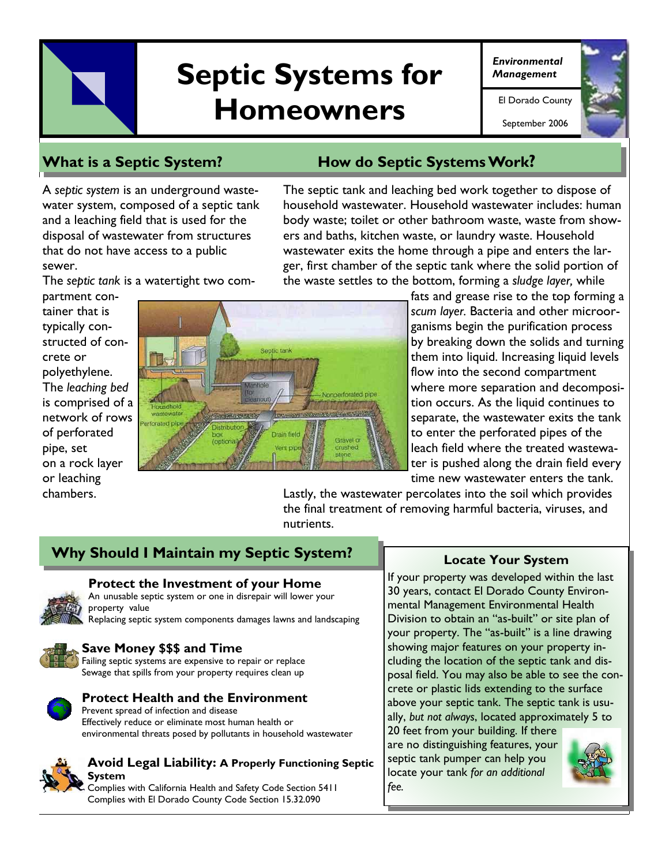# Septic Systems for *Environmental* **Homeowners El Dorado County**

September 2006



# **What is a Septic System? How do Septic Systems Work?**

A *septic system* is an underground wastewater system, composed of a septic tank and a leaching field that is used for the disposal of wastewater from structures that do not have access to a public sewer.

The septic tank and leaching bed work together to dispose of household wastewater. Household wastewater includes: human body waste; toilet or other bathroom waste, waste from showers and baths, kitchen waste, or laundry waste. Household wastewater exits the home through a pipe and enters the larger, first chamber of the septic tank where the solid portion of the waste settles to the bottom, forming a *sludge layer,* while

The *septic tank* is a watertight two com-

partment container that is typically constructed of concrete or polyethylene. The *leaching bed*  is comprised of a network of rows of perforated pipe, set on a rock layer or leaching chambers.



fats and grease rise to the top forming a *scum layer.* Bacteria and other microorganisms begin the purification process by breaking down the solids and turning them into liquid. Increasing liquid levels flow into the second compartment where more separation and decomposition occurs. As the liquid continues to separate, the wastewater exits the tank to enter the perforated pipes of the leach field where the treated wastewater is pushed along the drain field every time new wastewater enters the tank.

Lastly, the wastewater percolates into the soil which provides the final treatment of removing harmful bacteria, viruses, and nutrients.

# **Why Should I Maintain my Septic System?**



#### **M Protect the Investment of your Home**

An unusable septic system or one in disrepair will lower your property value

Replacing septic system components damages lawns and landscaping



#### **Save Money \$\$\$ and Time**

Failing septic systems are expensive to repair or replace Sewage that spills from your property requires clean up



#### **Protect Health and the Environment**

Prevent spread of infection and disease Effectively reduce or eliminate most human health or environmental threats posed by pollutants in household wastewater



#### **Avoid Legal Liability: A Properly Functioning Septic System**

Complies with California Health and Safety Code Section 5411 Complies with El Dorado County Code Section 15.32.090

#### **Locate Your System**

If your property was developed within the last 30 years, contact El Dorado County Environmental Management Environmental Health Division to obtain an "as-built" or site plan of your property. The "as-built" is a line drawing showing major features on your property including the location of the septic tank and disposal field. You may also be able to see the concrete or plastic lids extending to the surface above your septic tank. The septic tank is usually, *but not always*, located approximately 5 to

20 feet from your building. If there are no distinguishing features, your septic tank pumper can help you locate your tank *for an additional fee.* 

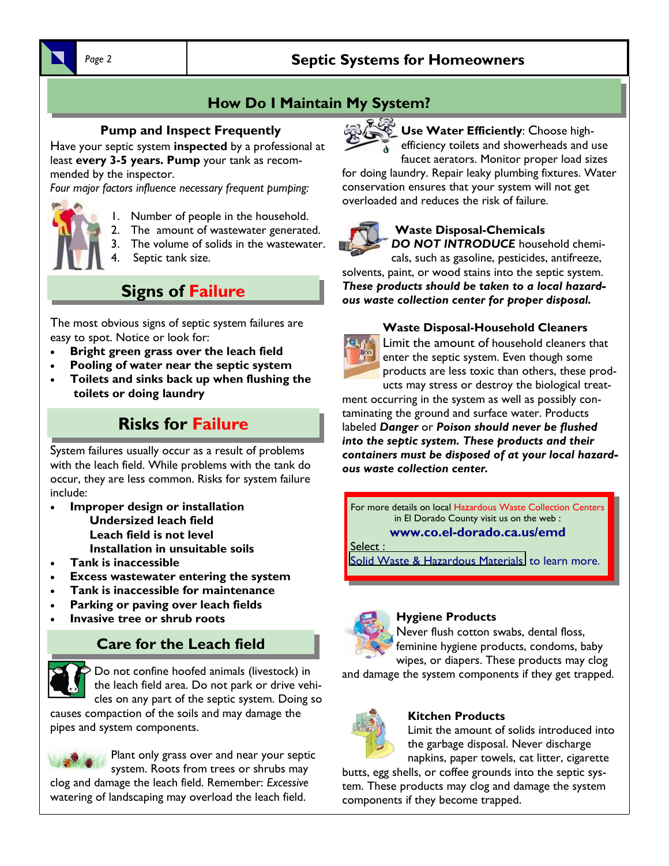# Page 2 *Septic Systems for Homeowners*

# **How Do I Maintain My System?**

#### **Pump and Inspect Frequently**

Have your septic system **inspected** by a professional at least **every 3-5 years. Pump** your tank as recommended by the inspector.

*Four major factors influence necessary frequent pumping:* 



- 1. Number of people in the household.
- 2. The amount of wastewater generated.
- 3. The volume of solids in the wastewater.
- 4. Septic tank size.

# **Signs of Failure**

The most obvious signs of septic system failures are easy to spot. Notice or look for:

- **Bright green grass over the leach field**
- **Pooling of water near the septic system**
- **Toilets and sinks back up when flushing the toilets or doing laundry**

# **Risks for Failure**

System failures usually occur as a result of problems with the leach field. While problems with the tank do occur, they are less common. Risks for system failure include:

- **Improper design or installation Undersized leach field Leach field is not level Installation in unsuitable soils**
- **Tank is inaccessible**
- **Excess wastewater entering the system**
- **Tank is inaccessible for maintenance**
- **Parking or paving over leach fields**
- **Invasive tree or shrub roots**

# **Care for the Leach field**



Do not confine hoofed animals (livestock) in the leach field area. Do not park or drive vehicles on any part of the septic system. Doing so

causes compaction of the soils and may damage the pipes and system components.



Plant only grass over and near your septic system. Roots from trees or shrubs may clog and damage the leach field. Remember: *Excessive* watering of landscaping may overload the leach field.



**Use Water Efficiently**: Choose highefficiency toilets and showerheads and use faucet aerators. Monitor proper load sizes

for doing laundry. Repair leaky plumbing fixtures. Water conservation ensures that your system will not get overloaded and reduces the risk of failure.



#### **Waste Disposal-Chemicals**

*DO NOT INTRODUCE* household chemi-

cals, such as gasoline, pesticides, antifreeze, solvents, paint, or wood stains into the septic system. *These products should be taken to a local hazardous waste collection center for proper disposal.* 

#### **Waste Disposal-Household Cleaners**



Limit the amount of household cleaners that enter the septic system. Even though some products are less toxic than others, these products may stress or destroy the biological treat-

ment occurring in the system as well as possibly contaminating the ground and surface water. Products labeled *Danger* or *Poison should never be flushed into the septic system. These products and their containers must be disposed of at your local hazardous waste collection center.* 

For more details on local Hazardous Waste Collection Centers in El Dorado County visit us on the web : **www.co.el-dorado.ca.us/emd** 

Select :

Solid Waste & Hazardous Materials to learn more.



#### **Hygiene Products**

Never flush cotton swabs, dental floss, feminine hygiene products, condoms, baby wipes, or diapers. These products may clog

and damage the system components if they get trapped.



#### **Kitchen Products**

Limit the amount of solids introduced into the garbage disposal. Never discharge napkins, paper towels, cat litter, cigarette

butts, egg shells, or coffee grounds into the septic system. These products may clog and damage the system components if they become trapped.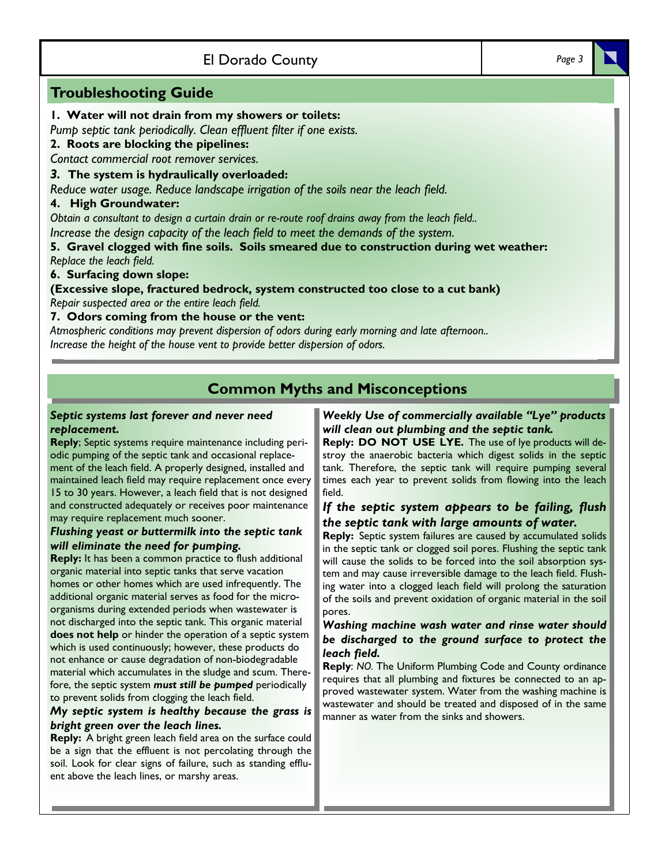### El Dorado County *Page 3*

#### **Troubleshooting Guide**

#### **1. Water will not drain from my showers or toilets:**

*Pump septic tank periodically. Clean effluent filter if one exists.*

#### **2. Roots are blocking the pipelines:**

*Contact commercial root remover services.* 

#### *3.* **The system is hydraulically overloaded:**

*Reduce water usage. Reduce landscape irrigation of the soils near the leach field.* 

#### **4. High Groundwater:**

*Obtain a consultant to design a curtain drain or re-route roof drains away from the leach field..* 

*Increase the design capacity of the leach field to meet the demands of the system.* 

**5. Gravel clogged with fine soils. Soils smeared due to construction during wet weather:**  *Replace the leach field.* 

**6. Surfacing down slope:** 

**(Excessive slope, fractured bedrock, system constructed too close to a cut bank)**  *Repair suspected area or the entire leach field.* 

#### **7. Odors coming from the house or the vent:**

*Atmospheric conditions may prevent dispersion of odors during early morning and late afternoon.. Increase the height of the house vent to provide better dispersion of odors.* 

## **Common Myths and Misconceptions**

#### *Septic systems last forever and never need replacement.*

**Reply**; Septic systems require maintenance including periodic pumping of the septic tank and occasional replacement of the leach field. A properly designed, installed and maintained leach field may require replacement once every 15 to 30 years. However, a leach field that is not designed and constructed adequately or receives poor maintenance may require replacement much sooner.

#### *Flushing yeast or buttermilk into the septic tank will eliminate the need for pumping.*

**Reply:** It has been a common practice to flush additional organic material into septic tanks that serve vacation homes or other homes which are used infrequently. The additional organic material serves as food for the microorganisms during extended periods when wastewater is not discharged into the septic tank. This organic material **does not help** or hinder the operation of a septic system which is used continuously; however, these products do not enhance or cause degradation of non-biodegradable material which accumulates in the sludge and scum. Therefore, the septic system *must still be pumped* periodically to prevent solids from clogging the leach field.

#### *My septic system is healthy because the grass is bright green over the leach lines.*

**Reply:** A bright green leach field area on the surface could be a sign that the effluent is not percolating through the soil. Look for clear signs of failure, such as standing effluent above the leach lines, or marshy areas.

#### *Weekly Use of commercially available "Lye" products will clean out plumbing and the septic tank.*

**Reply: DO NOT USE LYE.** The use of lye products will destroy the anaerobic bacteria which digest solids in the septic tank. Therefore, the septic tank will require pumping several times each year to prevent solids from flowing into the leach field.

#### *If the septic system appears to be failing, flush the septic tank with large amounts of water.*

**Reply:** Septic system failures are caused by accumulated solids in the septic tank or clogged soil pores. Flushing the septic tank will cause the solids to be forced into the soil absorption system and may cause irreversible damage to the leach field. Flushing water into a clogged leach field will prolong the saturation of the soils and prevent oxidation of organic material in the soil pores.

#### *Washing machine wash water and rinse water should be discharged to the ground surface to protect the leach field.*

**Reply**: *NO.* The Uniform Plumbing Code and County ordinance requires that all plumbing and fixtures be connected to an approved wastewater system. Water from the washing machine is wastewater and should be treated and disposed of in the same manner as water from the sinks and showers.